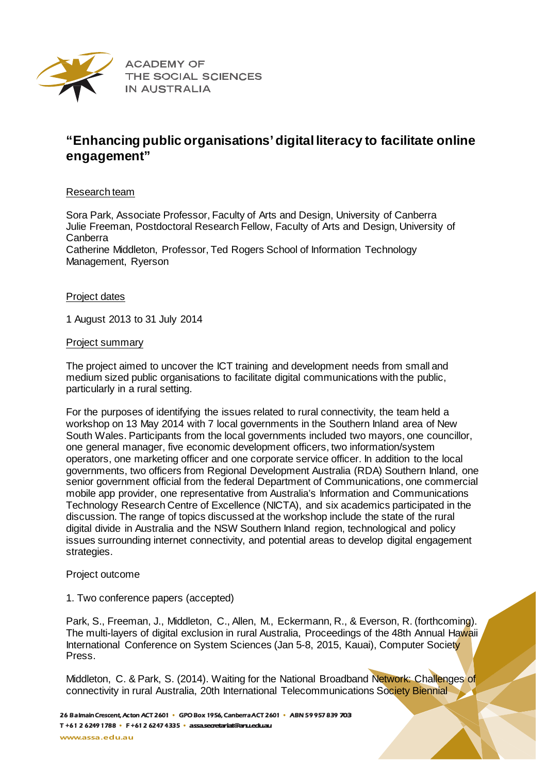

**ACADEMY OF** THE SOCIAL SCIENCES **IN AUSTRALIA** 

# **"Enhancing public organisations' digital literacy to facilitate online engagement"**

### Research team

Sora Park, Associate Professor, Faculty of Arts and Design, University of Canberra Julie Freeman, Postdoctoral Research Fellow, Faculty of Arts and Design, University of Canberra

Catherine Middleton, Professor, Ted Rogers School of Information Technology Management, Ryerson

### Project dates

1 August 2013 to 31 July 2014

### Project summary

The project aimed to uncover the ICT training and development needs from small and medium sized public organisations to facilitate digital communications with the public, particularly in a rural setting.

For the purposes of identifying the issues related to rural connectivity, the team held a workshop on 13 May 2014 with 7 local governments in the Southern Inland area of New South Wales. Participants from the local governments included two mayors, one councillor, one general manager, five economic development officers, two information/system operators, one marketing officer and one corporate service officer. In addition to the local governments, two officers from Regional Development Australia (RDA) Southern Inland, one senior government official from the federal Department of Communications, one commercial mobile app provider, one representative from Australia's Information and Communications Technology Research Centre of Excellence (NICTA), and six academics participated in the discussion. The range of topics discussed at the workshop include the state of the rural digital divide in Australia and the NSW Southern Inland region, technological and policy issues surrounding internet connectivity, and potential areas to develop digital engagement strategies.

#### Project outcome

## 1. Two conference papers (accepted)

Park, S., Freeman, J., Middleton, C., Allen, M., Eckermann, R., & Everson, R. (forthcoming). The multi-layers of digital exclusion in rural Australia, Proceedings of the 48th Annual Hawaii International Conference on System Sciences (Jan 5-8, 2015, Kauai), Computer Society Press.

Middleton, C. & Park, S. (2014). Waiting for the National Broadband Network: Challenges of connectivity in rural Australia, 20th International Telecommunications Society Biennial